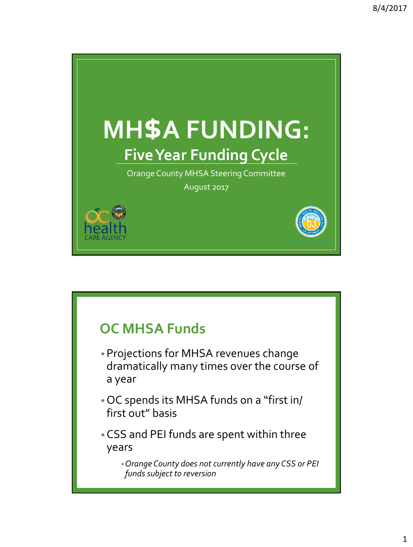

## **OC MHSA Funds**

- •Projections for MHSA revenues change dramatically many times over the course of a year
- •OC spends its MHSA funds on a "first in/ first out" basis
- •CSS and PEI funds are spent within three years

•*Orange County does not currently have any CSS or PEI funds subject to reversion*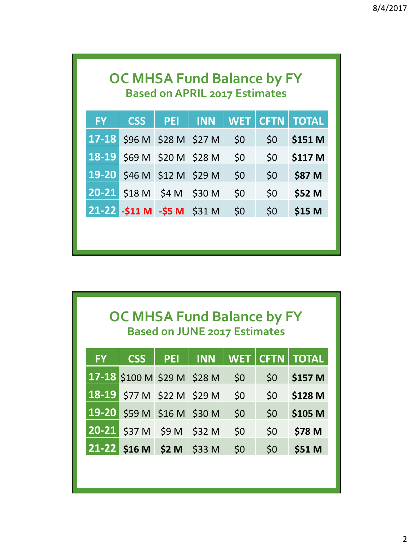| <b>OC MHSA Fund Balance by FY</b><br><b>Based on APRIL 2017 Estimates</b> |                             |            |            |            |      |              |  |
|---------------------------------------------------------------------------|-----------------------------|------------|------------|------------|------|--------------|--|
| <b>FY</b>                                                                 | <b>CSS</b>                  | <b>PET</b> | <b>INN</b> | <b>WET</b> | CFTN | <b>TOTAL</b> |  |
|                                                                           | 17-18 \$96 M \$28 M \$27 M  |            |            | \$0        | \$0  | \$151 M      |  |
|                                                                           | 18-19 \$69 M \$20 M \$28 M  |            |            | \$0\$      | \$0  | \$117 M      |  |
|                                                                           | 19-20 \$46 M \$12 M \$29 M  |            |            | \$0        | \$0  | \$87 M       |  |
|                                                                           | $20-21$ \$18 M \$4 M \$30 M |            |            | \$0        | \$0  | \$52 M       |  |
|                                                                           | 21-22 -\$11 M -\$5 M \$31 M |            |            | \$0        | \$0  | \$15 M       |  |
|                                                                           |                             |            |            |            |      |              |  |
|                                                                           |                             |            |            |            |      |              |  |

## **OC MHSA Fund Balance by FY Based on JUNE 2017 Estimates**

| <b>FY</b> | <b>CSS</b>                  | PEI | <b>INN</b> |     |     | WET   CFTN   TOTAL |
|-----------|-----------------------------|-----|------------|-----|-----|--------------------|
|           | 17-18 \$100 M \$29 M \$28 M |     |            | \$0 | 50  | \$157 M            |
|           | 18-19 \$77 M \$22 M \$29 M  |     |            | \$0 | 50  | \$128 M            |
|           | 19-20 \$59 M \$16 M \$30 M  |     |            | \$0 | 50  | \$105 M            |
|           | 20-21 \$37 M \$9 M \$32 M   |     |            | \$0 | \$0 | \$78 M             |
|           | 21-22 \$16 M \$2 M \$33 M   |     |            | \$0 | \$0 | \$51 M             |